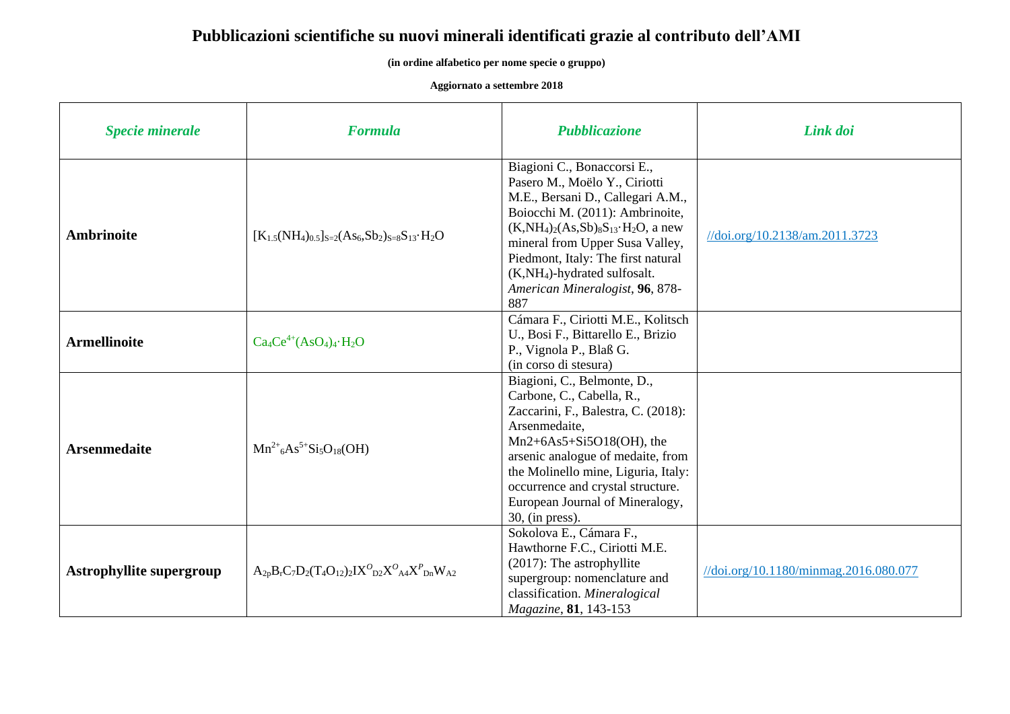## **Pubblicazioni scientifiche su nuovi minerali identificati grazie al contributo dell'AMI**

**(in ordine alfabetico per nome specie o gruppo)**

**Aggiornato a settembre 2018**

| <b>Specie minerale</b>          | <b>Formula</b>                                                                | <b>Pubblicazione</b>                                                                                                                                                                                                                                                                                                                      | Link doi                              |
|---------------------------------|-------------------------------------------------------------------------------|-------------------------------------------------------------------------------------------------------------------------------------------------------------------------------------------------------------------------------------------------------------------------------------------------------------------------------------------|---------------------------------------|
| <b>Ambrinoite</b>               | $[K_{1.5}(NH_4)_{0.5}]_{S=2}(As_6, Sb_2)_{S=8}S_{13} \cdot H_2O$              | Biagioni C., Bonaccorsi E.,<br>Pasero M., Moëlo Y., Ciriotti<br>M.E., Bersani D., Callegari A.M.,<br>Boiocchi M. (2011): Ambrinoite,<br>$(K, NH4)2(As, Sb)8S13·H2O, a new$<br>mineral from Upper Susa Valley,<br>Piedmont, Italy: The first natural<br>(K,NH <sub>4</sub> )-hydrated sulfosalt.<br>American Mineralogist, 96, 878-<br>887 | //doi.org/10.2138/am.2011.3723        |
| <b>Armellinoite</b>             | $Ca_4Ce^{4+}(AsO_4)_4·H_2O$                                                   | Cámara F., Ciriotti M.E., Kolitsch<br>U., Bosi F., Bittarello E., Brizio<br>P., Vignola P., Blaß G.<br>(in corso di stesura)                                                                                                                                                                                                              |                                       |
| <b>Arsenmedaite</b>             | $Mn^{2+}6As^{5+}Si_5O_{18}(OH)$                                               | Biagioni, C., Belmonte, D.,<br>Carbone, C., Cabella, R.,<br>Zaccarini, F., Balestra, C. (2018):<br>Arsenmedaite,<br>$Mn2+6As5+Si5O18(OH)$ , the<br>arsenic analogue of medaite, from<br>the Molinello mine, Liguria, Italy:<br>occurrence and crystal structure.<br>European Journal of Mineralogy,<br>$30$ , (in press).                 |                                       |
| <b>Astrophyllite supergroup</b> | $A_{2p}B_{r}C_{7}D_{2}(T_{4}O_{12})_{2}IX^{O}_{D2}X^{O}_{A4}X^{P}_{Dn}W_{A2}$ | Sokolova E., Cámara F.,<br>Hawthorne F.C., Ciriotti M.E.<br>(2017): The astrophyllite<br>supergroup: nomenclature and<br>classification. Mineralogical<br>Magazine, 81, 143-153                                                                                                                                                           | //doi.org/10.1180/minmag.2016.080.077 |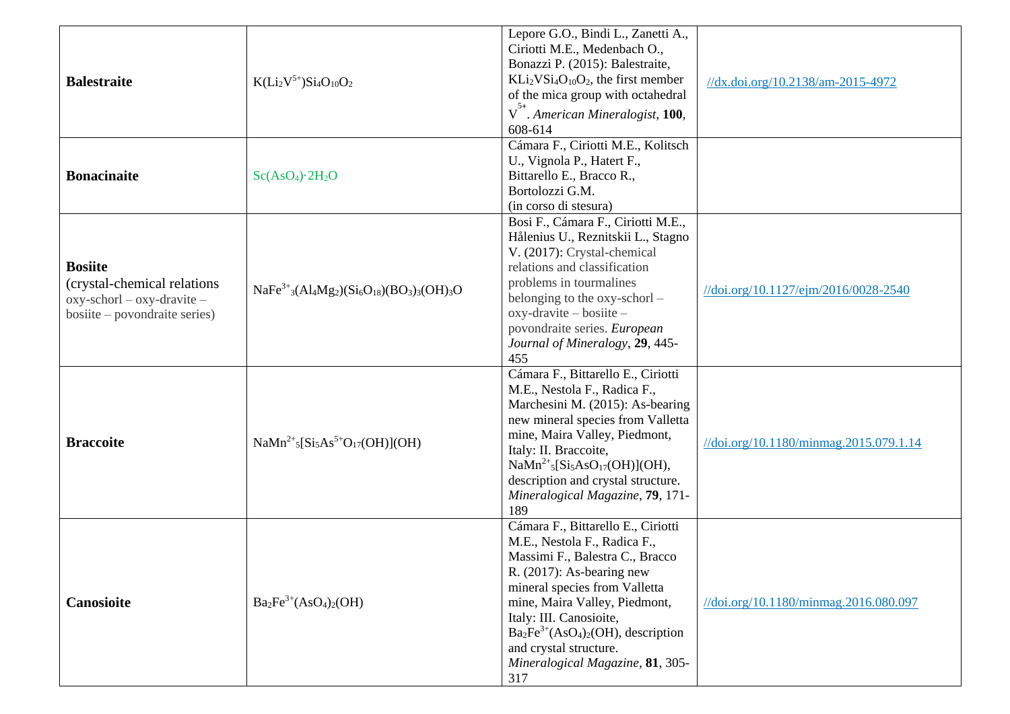| <b>Balestraite</b>                                                                                                            | $K(Li2V5+)Si4O10O2$                                                                    | Lepore G.O., Bindi L., Zanetti A.,<br>Ciriotti M.E., Medenbach O.,<br>Bonazzi P. (2015): Balestraite,<br>$KLi2VSi4O10O2$ , the first member<br>of the mica group with octahedral<br>$V^{5+}$ . American Mineralogist, 100,<br>608-614                                                                                                         | //dx.doi.org/10.2138/am-2015-4972      |
|-------------------------------------------------------------------------------------------------------------------------------|----------------------------------------------------------------------------------------|-----------------------------------------------------------------------------------------------------------------------------------------------------------------------------------------------------------------------------------------------------------------------------------------------------------------------------------------------|----------------------------------------|
| <b>Bonacinaite</b>                                                                                                            | Sc(AsO <sub>4</sub> )·2H <sub>2</sub> O                                                | Cámara F., Ciriotti M.E., Kolitsch<br>U., Vignola P., Hatert F.,<br>Bittarello E., Bracco R.,<br>Bortolozzi G.M.<br>(in corso di stesura)                                                                                                                                                                                                     |                                        |
| <b>Bosiite</b><br>(crystal-chemical relations)<br>$oxy$ -schorl – $oxy$ -dravite –<br>$\text{positive}$ – povondraite series) | $NaFe3+3(Al_4Mg_2)(Si6O18)(BO3)3(OH)3O$                                                | Bosi F., Cámara F., Ciriotti M.E.,<br>Hålenius U., Reznitskii L., Stagno<br>V. (2017): Crystal-chemical<br>relations and classification<br>problems in tourmalines<br>belonging to the oxy-schorl -<br>$oxy$ -dravite – bosiite –<br>povondraite series. European<br>Journal of Mineralogy, 29, 445-<br>455                                   | //doi.org/10.1127/ejm/2016/0028-2540   |
| <b>Braccoite</b>                                                                                                              | $\text{NaMn}^{2+}{}_{5}[\text{Si}_5\text{As}^{5+}\text{O}_{17}(\text{OH})](\text{OH})$ | Cámara F., Bittarello E., Ciriotti<br>M.E., Nestola F., Radica F.,<br>Marchesini M. (2015): As-bearing<br>new mineral species from Valletta<br>mine, Maira Valley, Piedmont,<br>Italy: II. Braccoite,<br>$NaMn^{2+}{}_{5}[Si5AsO17(OH)](OH),$<br>description and crystal structure.<br>Mineralogical Magazine, 79, 171-<br>189                | //doi.org/10.1180/minmag.2015.079.1.14 |
| Canosioite                                                                                                                    | $Ba2Fe3+(AsO4)2(OH)$                                                                   | Cámara F., Bittarello E., Ciriotti<br>M.E., Nestola F., Radica F.,<br>Massimi F., Balestra C., Bracco<br>R. $(2017)$ : As-bearing new<br>mineral species from Valletta<br>mine, Maira Valley, Piedmont,<br>Italy: III. Canosioite,<br>$Ba2Fe3+(AsO4)2(OH)$ , description<br>and crystal structure.<br>Mineralogical Magazine, 81, 305-<br>317 | //doi.org/10.1180/minmag.2016.080.097  |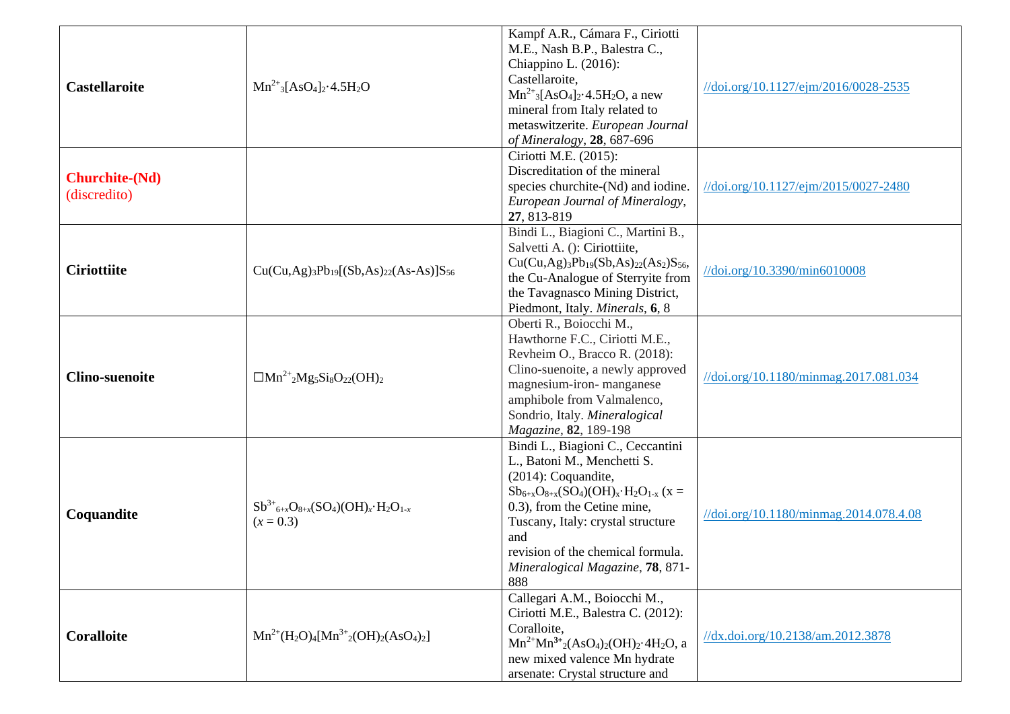|                       |                                                                              | Kampf A.R., Cámara F., Ciriotti                                                                        |                                                         |
|-----------------------|------------------------------------------------------------------------------|--------------------------------------------------------------------------------------------------------|---------------------------------------------------------|
|                       |                                                                              | M.E., Nash B.P., Balestra C.,                                                                          |                                                         |
|                       |                                                                              | Chiappino L. (2016):                                                                                   |                                                         |
|                       |                                                                              | Castellaroite,                                                                                         |                                                         |
| <b>Castellaroite</b>  | $Mn^{2+}$ <sub>3</sub> [AsO <sub>4</sub> ] <sub>2</sub> .4.5H <sub>2</sub> O | $Mn^{2+}$ <sub>3</sub> [AsO <sub>4</sub> ] <sub>2</sub> .4.5H <sub>2</sub> O, a new                    | //doi.org/10.1127/ejm/2016/0028-2535                    |
|                       |                                                                              | mineral from Italy related to                                                                          |                                                         |
|                       |                                                                              | metaswitzerite. European Journal                                                                       |                                                         |
|                       |                                                                              | of Mineralogy, 28, 687-696                                                                             |                                                         |
|                       |                                                                              | Ciriotti M.E. (2015):                                                                                  |                                                         |
| <b>Churchite-(Nd)</b> |                                                                              | Discreditation of the mineral                                                                          |                                                         |
|                       |                                                                              | species churchite-(Nd) and iodine.                                                                     | $\frac{1}{\delta}$ (doi.org/10.1127/ejm/2015/0027-2480) |
| (discredito)          |                                                                              | European Journal of Mineralogy,                                                                        |                                                         |
|                       |                                                                              | 27, 813-819                                                                                            |                                                         |
|                       |                                                                              | Bindi L., Biagioni C., Martini B.,                                                                     |                                                         |
|                       |                                                                              | Salvetti A. (): Ciriottiite,                                                                           |                                                         |
| <b>Ciriottiite</b>    | $Cu(Cu, Ag)3Pb19[(Sb, As)22(As-As)]S56$                                      | $Cu(Cu, Ag)_{3}Pb_{19}(Sb, As)_{22}(As_{2})S_{56}$                                                     | //doi.org/10.3390/min6010008                            |
|                       |                                                                              | the Cu-Analogue of Sterryite from                                                                      |                                                         |
|                       |                                                                              | the Tavagnasco Mining District,                                                                        |                                                         |
|                       |                                                                              | Piedmont, Italy. Minerals, 6, 8                                                                        |                                                         |
|                       |                                                                              | Oberti R., Boiocchi M.,                                                                                |                                                         |
|                       | $\Box Mn^{2+}{}_{2}Mg_{5}Si_{8}O_{22}(OH)_{2}$                               | Hawthorne F.C., Ciriotti M.E.,                                                                         |                                                         |
|                       |                                                                              | Revheim O., Bracco R. (2018):                                                                          |                                                         |
| <b>Clino-suenoite</b> |                                                                              | Clino-suenoite, a newly approved                                                                       | //doi.org/10.1180/minmag.2017.081.034                   |
|                       |                                                                              | magnesium-iron-manganese                                                                               |                                                         |
|                       |                                                                              | amphibole from Valmalenco,                                                                             |                                                         |
|                       |                                                                              | Sondrio, Italy. Mineralogical                                                                          |                                                         |
|                       |                                                                              | Magazine, 82, 189-198                                                                                  |                                                         |
|                       |                                                                              | Bindi L., Biagioni C., Ceccantini                                                                      |                                                         |
|                       |                                                                              | L., Batoni M., Menchetti S.                                                                            |                                                         |
|                       |                                                                              | (2014): Coquandite,                                                                                    |                                                         |
|                       | $Sb^{3+}{}_{6+x}O_{8+x}(SO_4)(OH)_x \cdot H_2O_{1-x}$                        | $Sb_{6+x}O_{8+x}(SO_4)(OH)_x \cdot H_2O_{1-x}$ (x =                                                    |                                                         |
| Coquandite            |                                                                              | 0.3), from the Cetine mine,                                                                            | //doi.org/10.1180/minmag.2014.078.4.08                  |
|                       | $(x = 0.3)$                                                                  | Tuscany, Italy: crystal structure                                                                      |                                                         |
|                       |                                                                              | and                                                                                                    |                                                         |
|                       |                                                                              | revision of the chemical formula.                                                                      |                                                         |
|                       |                                                                              | Mineralogical Magazine, 78, 871-                                                                       |                                                         |
|                       |                                                                              | 888<br>Callegari A.M., Boiocchi M.,                                                                    |                                                         |
|                       |                                                                              | Ciriotti M.E., Balestra C. (2012):                                                                     |                                                         |
| <b>Coralloite</b>     |                                                                              | Coralloite,                                                                                            |                                                         |
|                       | $Mn^{2+}(H_2O)_4[Mn^{3+} (OH)_2(ASO_4)_2]$                                   | $Mn^{2+}Mn^{3+}$ <sub>2</sub> (AsO <sub>4</sub> ) <sub>2</sub> (OH) <sub>2</sub> ·4H <sub>2</sub> O, a | //dx.doi.org/10.2138/am.2012.3878                       |
|                       |                                                                              | new mixed valence Mn hydrate                                                                           |                                                         |
|                       |                                                                              | arsenate: Crystal structure and                                                                        |                                                         |
|                       |                                                                              |                                                                                                        |                                                         |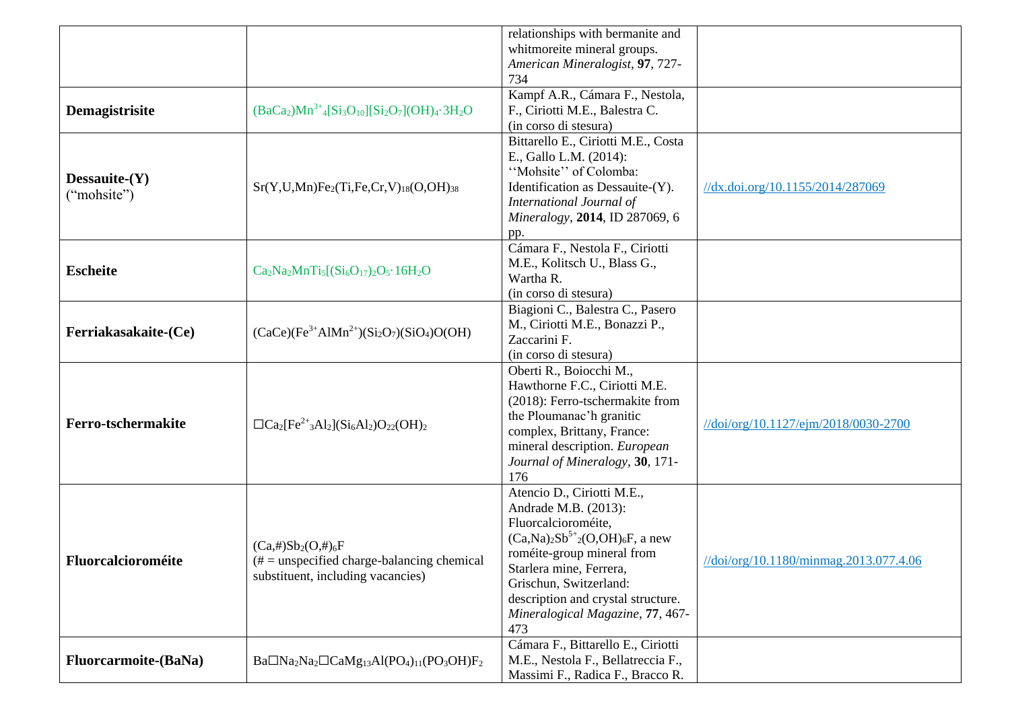|                                 |                                                                                                                                    | relationships with bermanite and<br>whitmoreite mineral groups.<br>American Mineralogist, 97, 727-                                                                                                                                                                                              |                                        |
|---------------------------------|------------------------------------------------------------------------------------------------------------------------------------|-------------------------------------------------------------------------------------------------------------------------------------------------------------------------------------------------------------------------------------------------------------------------------------------------|----------------------------------------|
| Demagistrisite                  | $(BaCa2)Mn3+$ <sub>4</sub> [Si <sub>3</sub> O <sub>10</sub> ][Si <sub>2</sub> O <sub>7</sub> ](OH) <sub>4</sub> .3H <sub>2</sub> O | 734<br>Kampf A.R., Cámara F., Nestola,<br>F., Ciriotti M.E., Balestra C.<br>(in corso di stesura)                                                                                                                                                                                               |                                        |
| Dessauite- $(Y)$<br>("mohsite") | $Sr(Y, U, Mn)Fe2(Ti, Fe, Cr, V)18(O, OH)38$                                                                                        | Bittarello E., Ciriotti M.E., Costa<br>E., Gallo L.M. (2014):<br>"Mohsite" of Colomba:<br>Identification as Dessauite-(Y).<br>International Journal of<br>Mineralogy, 2014, ID 287069, 6<br>pp.                                                                                                 | //dx.doi.org/10.1155/2014/287069       |
| <b>Escheite</b>                 | $Ca2Na2MnTi5[(Si6O17)2O5·16H2O$                                                                                                    | Cámara F., Nestola F., Ciriotti<br>M.E., Kolitsch U., Blass G.,<br>Wartha R.<br>(in corso di stesura)                                                                                                                                                                                           |                                        |
| Ferriakasakaite-(Ce)            | $(CaCe)(Fe3+AIMn2+)(Si2O7)(SiO4)O(OH)$                                                                                             | Biagioni C., Balestra C., Pasero<br>M., Ciriotti M.E., Bonazzi P.,<br>Zaccarini F.<br>(in corso di stesura)                                                                                                                                                                                     |                                        |
| Ferro-tschermakite              | $\Box Ca_2[Fe^{2+}{}_3Al_2](Si_6Al_2)O_{22}(OH)_2$                                                                                 | Oberti R., Boiocchi M.,<br>Hawthorne F.C., Ciriotti M.E.<br>(2018): Ferro-tschermakite from<br>the Ploumanac'h granitic<br>complex, Brittany, France:<br>mineral description. European<br>Journal of Mineralogy, 30, 171-<br>176                                                                | //doi/org/10.1127/ejm/2018/0030-2700   |
| Fluorcalcioroméite              | $(Ca, \#)Sb_2(O, \#)_6F$<br>$#$ = unspecified charge-balancing chemical<br>substituent, including vacancies)                       | Atencio D., Ciriotti M.E.,<br>Andrade M.B. (2013):<br>Fluorcalcioroméite,<br>$(Ca, Na)_{2}Sb^{5+}{}_{2}(O,OH)_{6}F$ , a new<br>roméite-group mineral from<br>Starlera mine, Ferrera,<br>Grischun, Switzerland:<br>description and crystal structure.<br>Mineralogical Magazine, 77, 467-<br>473 | //doi/org/10.1180/minmag.2013.077.4.06 |
| <b>Fluorcarmoite-(BaNa)</b>     | $Ba\Box Na2Na2\Box CaMg13Al(PO4)11(PO3OH)F2$                                                                                       | Cámara F., Bittarello E., Ciriotti<br>M.E., Nestola F., Bellatreccia F.,<br>Massimi F., Radica F., Bracco R.                                                                                                                                                                                    |                                        |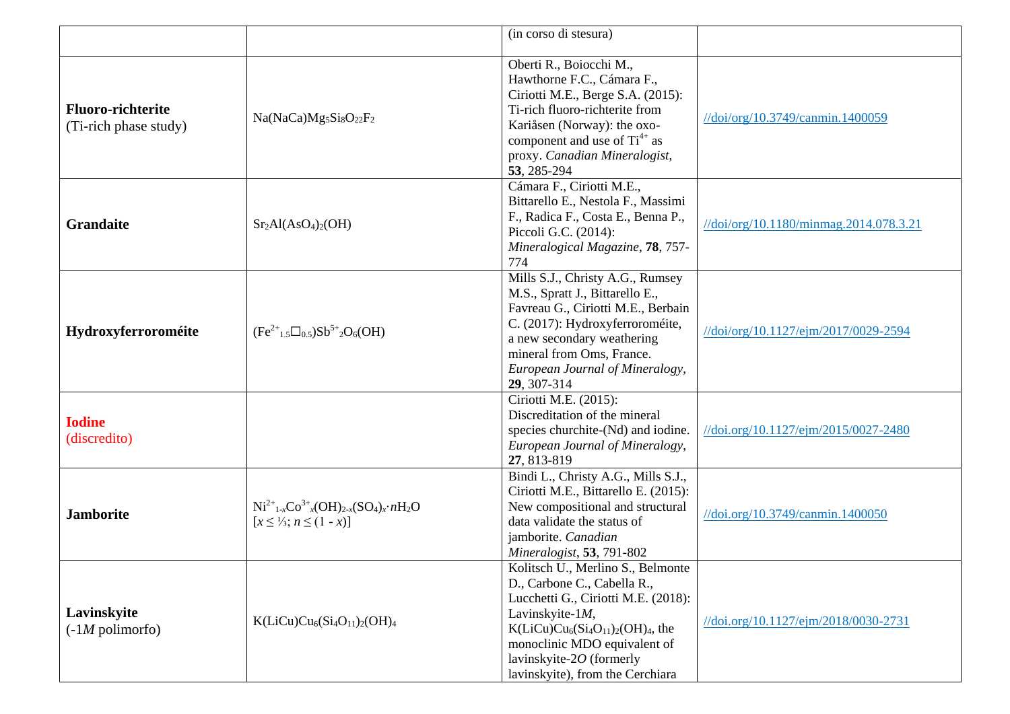|                                                   |                                                                                                       | (in corso di stesura)                                                                                                                                                                                                                                             |                                        |
|---------------------------------------------------|-------------------------------------------------------------------------------------------------------|-------------------------------------------------------------------------------------------------------------------------------------------------------------------------------------------------------------------------------------------------------------------|----------------------------------------|
| <b>Fluoro-richterite</b><br>(Ti-rich phase study) | Na(NaCa)Mg <sub>5</sub> Si <sub>8</sub> O <sub>22</sub> F <sub>2</sub>                                | Oberti R., Boiocchi M.,<br>Hawthorne F.C., Cámara F.,<br>Ciriotti M.E., Berge S.A. (2015):<br>Ti-rich fluoro-richterite from<br>Kariåsen (Norway): the oxo-<br>component and use of $Ti^{4+}$ as<br>proxy. Canadian Mineralogist,<br>53, 285-294                  | //doi/org/10.3749/canmin.1400059       |
| <b>Grandaite</b>                                  | $Sr2Al(AsO4)2(OH)$                                                                                    | Cámara F., Ciriotti M.E.,<br>Bittarello E., Nestola F., Massimi<br>F., Radica F., Costa E., Benna P.,<br>Piccoli G.C. (2014):<br>Mineralogical Magazine, 78, 757-<br>774                                                                                          | //doi/org/10.1180/minmag.2014.078.3.21 |
| Hydroxyferroroméite                               | $(Fe^{2+}{}_{1.5}\square_{0.5})Sb^{5+}{}_{2}O_6(OH)$                                                  | Mills S.J., Christy A.G., Rumsey<br>M.S., Spratt J., Bittarello E.,<br>Favreau G., Ciriotti M.E., Berbain<br>C. (2017): Hydroxyferroroméite,<br>a new secondary weathering<br>mineral from Oms, France.<br>European Journal of Mineralogy,<br>29, 307-314         | //doi/org/10.1127/ejm/2017/0029-2594   |
| <b>Iodine</b><br>(discredito)                     |                                                                                                       | Ciriotti M.E. (2015):<br>Discreditation of the mineral<br>species churchite-(Nd) and iodine.<br>European Journal of Mineralogy,<br>27, 813-819                                                                                                                    | //doi.org/10.1127/ejm/2015/0027-2480   |
| <b>Jamborite</b>                                  | $Ni^{2+}{}_{1-x}Co^{3+}{}_{x}OH)_{2-x}(SO_4)_x \cdot nH_2O$<br>$[x \leq \frac{1}{3}; n \leq (1 - x)]$ | Bindi L., Christy A.G., Mills S.J.,<br>Ciriotti M.E., Bittarello E. (2015):<br>New compositional and structural<br>data validate the status of<br>jamborite. Canadian<br>Mineralogist, 53, 791-802                                                                | //doi.org/10.3749/canmin.1400050       |
| Lavinskyite<br>$(-1M$ polimorfo)                  | $K(LiCu)Cu6(Si4O11)2(OH)4$                                                                            | Kolitsch U., Merlino S., Belmonte<br>D., Carbone C., Cabella R.,<br>Lucchetti G., Ciriotti M.E. (2018):<br>Lavinskyite-1M,<br>$K(LiCu)Cu6(Si4O11)2(OH)4$ , the<br>monoclinic MDO equivalent of<br>lavinskyite- $2O$ (formerly<br>lavinskyite), from the Cerchiara | //doi.org/10.1127/ejm/2018/0030-2731   |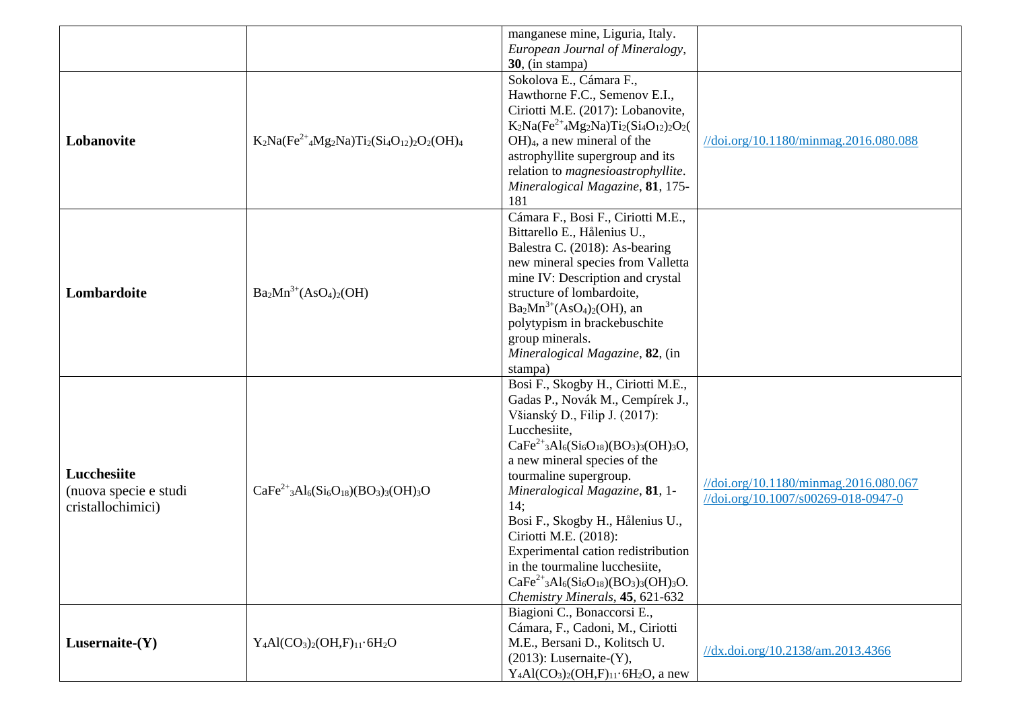|                       |                                                    | manganese mine, Liguria, Italy.               |                                       |
|-----------------------|----------------------------------------------------|-----------------------------------------------|---------------------------------------|
|                       |                                                    | European Journal of Mineralogy,               |                                       |
|                       |                                                    | $30$ , (in stampa)                            |                                       |
|                       |                                                    | Sokolova E., Cámara F.,                       |                                       |
|                       |                                                    | Hawthorne F.C., Semenov E.I.,                 |                                       |
|                       |                                                    | Ciriotti M.E. (2017): Lobanovite,             |                                       |
|                       |                                                    | $K_2Na(Fe^{2+}4Mg_2Na)Ti_2(Si_4O_{12})_2O_2($ |                                       |
| Lobanovite            | $K_2Na(Fe^{2+}4Mg_2Na)Ti_2(Si_4O_{12})_2O_2(OH)_4$ | $OH)$ <sub>4</sub> , a new mineral of the     | //doi.org/10.1180/minmag.2016.080.088 |
|                       |                                                    | astrophyllite supergroup and its              |                                       |
|                       |                                                    | relation to magnesioastrophyllite.            |                                       |
|                       |                                                    | Mineralogical Magazine, 81, 175-              |                                       |
|                       |                                                    | 181                                           |                                       |
|                       |                                                    | Cámara F., Bosi F., Ciriotti M.E.,            |                                       |
|                       |                                                    | Bittarello E., Hålenius U.,                   |                                       |
|                       |                                                    | Balestra C. (2018): As-bearing                |                                       |
|                       |                                                    | new mineral species from Valletta             |                                       |
|                       |                                                    | mine IV: Description and crystal              |                                       |
| Lombardoite           | $Ba2Mn3+(AsO4)2(OH)$                               | structure of lombardoite,                     |                                       |
|                       |                                                    | $Ba2Mn3+(AsO4)2(OH)$ , an                     |                                       |
|                       |                                                    | polytypism in brackebuschite                  |                                       |
|                       |                                                    | group minerals.                               |                                       |
|                       |                                                    | Mineralogical Magazine, 82, (in               |                                       |
|                       |                                                    | stampa)                                       |                                       |
|                       |                                                    | Bosi F., Skogby H., Ciriotti M.E.,            |                                       |
|                       |                                                    | Gadas P., Novák M., Cempírek J.,              |                                       |
|                       |                                                    | Všianský D., Filip J. (2017):                 |                                       |
|                       |                                                    | Lucchesiite,                                  |                                       |
|                       |                                                    | $CaFe2+3Al6(Si6O18)(BO3)3(OH)3O,$             |                                       |
|                       |                                                    | a new mineral species of the                  |                                       |
| Lucchesiite           |                                                    | tourmaline supergroup.                        | //doi.org/10.1180/minmag.2016.080.067 |
| (nuova specie e studi | $CaFe2+3Al6(Si6O18)(BO3)3(OH)3O$                   | Mineralogical Magazine, 81, 1-                | //doi.org/10.1007/s00269-018-0947-0   |
| cristallochimici)     |                                                    | 14;                                           |                                       |
|                       |                                                    | Bosi F., Skogby H., Hålenius U.,              |                                       |
|                       |                                                    | Ciriotti M.E. (2018):                         |                                       |
|                       |                                                    | Experimental cation redistribution            |                                       |
|                       |                                                    | in the tourmaline lucchesiite,                |                                       |
|                       |                                                    | $CaFe2+3Al6(Si6O18)(BO3)3(OH)3O.$             |                                       |
|                       |                                                    | Chemistry Minerals, 45, 621-632               |                                       |
|                       |                                                    | Biagioni C., Bonaccorsi E.,                   |                                       |
|                       |                                                    | Cámara, F., Cadoni, M., Ciriotti              |                                       |
| Lusernaite- $(Y)$     | $Y_4Al(CO_3)_2(OH,F)_{11}.6H_2O$                   | M.E., Bersani D., Kolitsch U.                 | //dx.doi.org/10.2138/am.2013.4366     |
|                       |                                                    | $(2013)$ : Lusernaite- $(Y)$ ,                |                                       |
|                       |                                                    | $Y_4Al(CO_3)_2(OH,F)_{11}.6H_2O$ , a new      |                                       |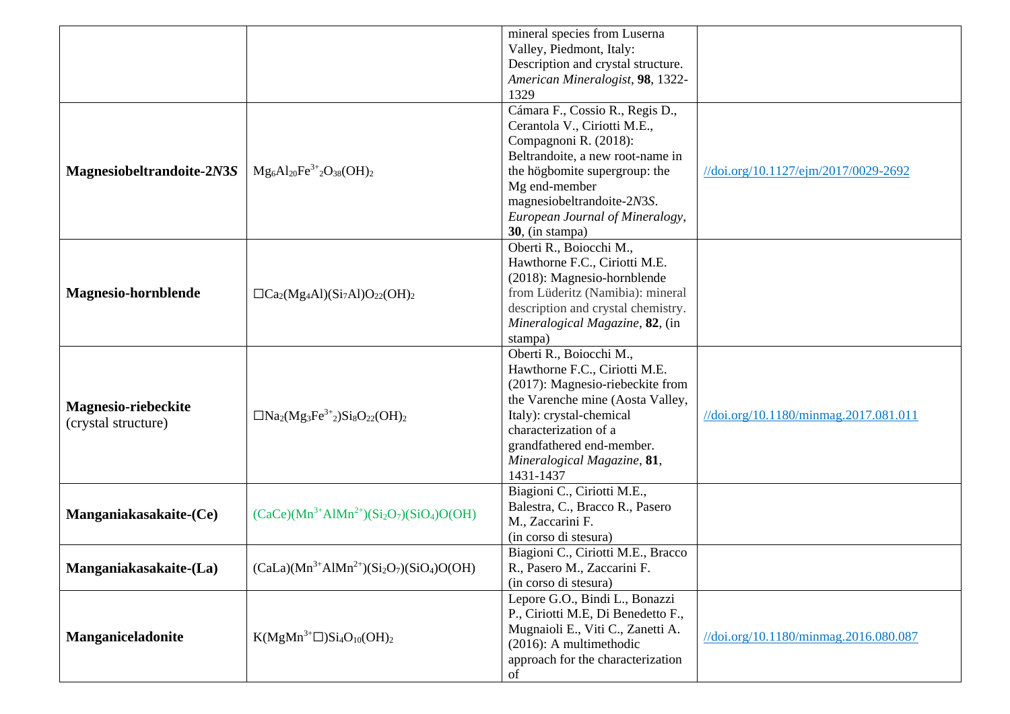| Description and crystal structure.<br>American Mineralogist, 98, 1322-<br>1329<br>Cámara F., Cossio R., Regis D.,<br>Cerantola V., Ciriotti M.E.,<br>Compagnoni R. (2018):<br>Beltrandoite, a new root-name in<br>$Mg_6Al_{20}Fe^{3+}{}_2O_{38}(OH)_2$<br>Magnesiobeltrandoite-2N3S<br>the högbomite supergroup: the<br>//doi.org/10.1127/ejm/2017/0029-2692<br>Mg end-member<br>magnesiobeltrandoite-2N3S.<br>European Journal of Mineralogy, |  | mineral species from Luserna |  |
|------------------------------------------------------------------------------------------------------------------------------------------------------------------------------------------------------------------------------------------------------------------------------------------------------------------------------------------------------------------------------------------------------------------------------------------------|--|------------------------------|--|
|                                                                                                                                                                                                                                                                                                                                                                                                                                                |  | Valley, Piedmont, Italy:     |  |
|                                                                                                                                                                                                                                                                                                                                                                                                                                                |  |                              |  |
|                                                                                                                                                                                                                                                                                                                                                                                                                                                |  |                              |  |
|                                                                                                                                                                                                                                                                                                                                                                                                                                                |  |                              |  |
|                                                                                                                                                                                                                                                                                                                                                                                                                                                |  |                              |  |
|                                                                                                                                                                                                                                                                                                                                                                                                                                                |  |                              |  |
|                                                                                                                                                                                                                                                                                                                                                                                                                                                |  |                              |  |
|                                                                                                                                                                                                                                                                                                                                                                                                                                                |  |                              |  |
|                                                                                                                                                                                                                                                                                                                                                                                                                                                |  |                              |  |
|                                                                                                                                                                                                                                                                                                                                                                                                                                                |  |                              |  |
|                                                                                                                                                                                                                                                                                                                                                                                                                                                |  |                              |  |
|                                                                                                                                                                                                                                                                                                                                                                                                                                                |  |                              |  |
|                                                                                                                                                                                                                                                                                                                                                                                                                                                |  | 30, (in stampa)              |  |
| Oberti R., Boiocchi M.,                                                                                                                                                                                                                                                                                                                                                                                                                        |  |                              |  |
| Hawthorne F.C., Ciriotti M.E.                                                                                                                                                                                                                                                                                                                                                                                                                  |  |                              |  |
| (2018): Magnesio-hornblende                                                                                                                                                                                                                                                                                                                                                                                                                    |  |                              |  |
| from Lüderitz (Namibia): mineral<br><b>Magnesio-hornblende</b><br>$\Box$ Ca <sub>2</sub> (Mg <sub>4</sub> Al)(Si <sub>7</sub> Al)O <sub>22</sub> (OH) <sub>2</sub>                                                                                                                                                                                                                                                                             |  |                              |  |
| description and crystal chemistry.                                                                                                                                                                                                                                                                                                                                                                                                             |  |                              |  |
| Mineralogical Magazine, 82, (in                                                                                                                                                                                                                                                                                                                                                                                                                |  |                              |  |
| stampa)                                                                                                                                                                                                                                                                                                                                                                                                                                        |  |                              |  |
| Oberti R., Boiocchi M.,                                                                                                                                                                                                                                                                                                                                                                                                                        |  |                              |  |
| Hawthorne F.C., Ciriotti M.E.                                                                                                                                                                                                                                                                                                                                                                                                                  |  |                              |  |
| (2017): Magnesio-riebeckite from                                                                                                                                                                                                                                                                                                                                                                                                               |  |                              |  |
| the Varenche mine (Aosta Valley,                                                                                                                                                                                                                                                                                                                                                                                                               |  |                              |  |
| <b>Magnesio-riebeckite</b><br>$\Box$ Na <sub>2</sub> (Mg <sub>3</sub> Fe <sup>3+</sup> <sub>2</sub> )Si <sub>8</sub> O <sub>22</sub> (OH) <sub>2</sub><br>Italy): crystal-chemical<br>//doi.org/10.1180/minmag.2017.081.011                                                                                                                                                                                                                    |  |                              |  |
| (crystal structure)<br>characterization of a                                                                                                                                                                                                                                                                                                                                                                                                   |  |                              |  |
| grandfathered end-member.                                                                                                                                                                                                                                                                                                                                                                                                                      |  |                              |  |
| Mineralogical Magazine, 81,                                                                                                                                                                                                                                                                                                                                                                                                                    |  |                              |  |
| 1431-1437                                                                                                                                                                                                                                                                                                                                                                                                                                      |  |                              |  |
| Biagioni C., Ciriotti M.E.,                                                                                                                                                                                                                                                                                                                                                                                                                    |  |                              |  |
| Balestra, C., Bracco R., Pasero                                                                                                                                                                                                                                                                                                                                                                                                                |  |                              |  |
| $(CaCe)(Mn^{3+}AlMn^{2+})(Si2O7)(SiO4)O(OH)$<br>Manganiakasakaite-(Ce)<br>M., Zaccarini F.                                                                                                                                                                                                                                                                                                                                                     |  |                              |  |
| (in corso di stesura)                                                                                                                                                                                                                                                                                                                                                                                                                          |  |                              |  |
| Biagioni C., Ciriotti M.E., Bracco                                                                                                                                                                                                                                                                                                                                                                                                             |  |                              |  |
| $(CaLa)(Mn^{3+}AlMn^{2+})(Si2O7)(SiO4)O(OH)$<br>Manganiakasakaite-(La)<br>R., Pasero M., Zaccarini F.                                                                                                                                                                                                                                                                                                                                          |  |                              |  |
| (in corso di stesura)                                                                                                                                                                                                                                                                                                                                                                                                                          |  |                              |  |
| Lepore G.O., Bindi L., Bonazzi                                                                                                                                                                                                                                                                                                                                                                                                                 |  |                              |  |
| P., Ciriotti M.E, Di Benedetto F.,                                                                                                                                                                                                                                                                                                                                                                                                             |  |                              |  |
| Mugnaioli E., Viti C., Zanetti A.                                                                                                                                                                                                                                                                                                                                                                                                              |  |                              |  |
| <b>Manganiceladonite</b><br>$K(MgMn^{3+} \square)Si_4O_{10}(OH)_2$<br>//doi.org/10.1180/minmag.2016.080.087<br>$(2016)$ : A multimethodic                                                                                                                                                                                                                                                                                                      |  |                              |  |
| approach for the characterization                                                                                                                                                                                                                                                                                                                                                                                                              |  |                              |  |
| of                                                                                                                                                                                                                                                                                                                                                                                                                                             |  |                              |  |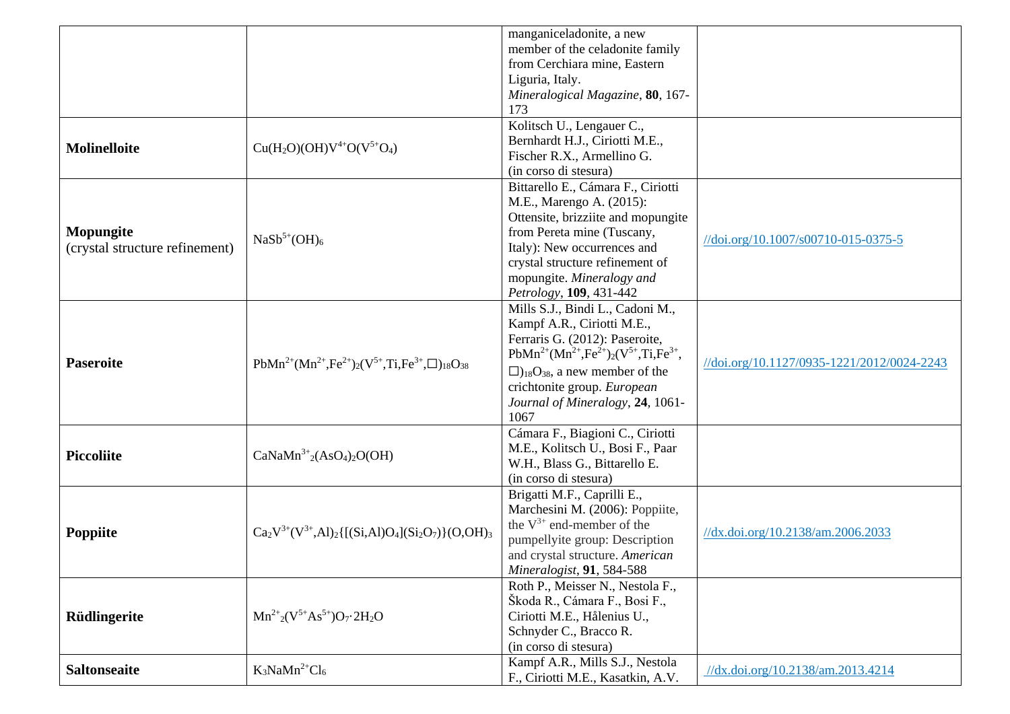|                                             |                                                                     | manganiceladonite, a new<br>member of the celadonite family<br>from Cerchiara mine, Eastern<br>Liguria, Italy.<br>Mineralogical Magazine, 80, 167-<br>173                                                                                                                                        |                                            |
|---------------------------------------------|---------------------------------------------------------------------|--------------------------------------------------------------------------------------------------------------------------------------------------------------------------------------------------------------------------------------------------------------------------------------------------|--------------------------------------------|
| Molinelloite                                | $Cu(H2O)(OH)V4+O(V5+O4)$                                            | Kolitsch U., Lengauer C.,<br>Bernhardt H.J., Ciriotti M.E.,<br>Fischer R.X., Armellino G.<br>(in corso di stesura)                                                                                                                                                                               |                                            |
| Mopungite<br>(crystal structure refinement) | $NaSb^{5+}(\mathrm{OH})_6$                                          | Bittarello E., Cámara F., Ciriotti<br>M.E., Marengo A. (2015):<br>Ottensite, brizziite and mopungite<br>from Pereta mine (Tuscany,<br>Italy): New occurrences and<br>crystal structure refinement of<br>mopungite. Mineralogy and<br>Petrology, 109, 431-442                                     | //doi.org/10.1007/s00710-015-0375-5        |
| <b>Paseroite</b>                            | $PbMn^{2+}(Mn^{2+},Fe^{2+})_{2}(V^{5+},Ti,Fe^{3+},\Box)_{18}O_{38}$ | Mills S.J., Bindi L., Cadoni M.,<br>Kampf A.R., Ciriotti M.E.,<br>Ferraris G. (2012): Paseroite,<br>$PbMn^{2+}(Mn^{2+},Fe^{2+})_{2}(V^{5+},Ti,Fe^{3+},$<br>$\Box$ <sub>18</sub> O <sub>38</sub> , a new member of the<br>crichtonite group. European<br>Journal of Mineralogy, 24, 1061-<br>1067 | //doi.org/10.1127/0935-1221/2012/0024-2243 |
| <b>Piccoliite</b>                           | $CaNaMn3+2(AsO4)2O(OH)$                                             | Cámara F., Biagioni C., Ciriotti<br>M.E., Kolitsch U., Bosi F., Paar<br>W.H., Blass G., Bittarello E.<br>(in corso di stesura)                                                                                                                                                                   |                                            |
| Poppiite                                    | $Ca_2V^{3+}(V^{3+},Al)_2\{[(Si,Al)O_4](Si_2O_7)\}(O,OH)_3$          | Brigatti M.F., Caprilli E.,<br>Marchesini M. (2006): Poppiite,<br>the $V^{3+}$ end-member of the<br>pumpellyite group: Description<br>and crystal structure. American<br>Mineralogist, 91, 584-588                                                                                               | //dx.doi.org/10.2138/am.2006.2033          |
| Rüdlingerite                                | $Mn^{2+}{}_{2}(V^{5+}As^{5+})O_7 \cdot 2H_2O$                       | Roth P., Meisser N., Nestola F.,<br>Škoda R., Cámara F., Bosi F.,<br>Ciriotti M.E., Hålenius U.,<br>Schnyder C., Bracco R.<br>(in corso di stesura)                                                                                                                                              |                                            |
| <b>Saltonseaite</b>                         | $K_3$ NaMn <sup>2+</sup> Cl <sub>6</sub>                            | Kampf A.R., Mills S.J., Nestola<br>F., Ciriotti M.E., Kasatkin, A.V.                                                                                                                                                                                                                             | //dx.doi.org/10.2138/am.2013.4214          |